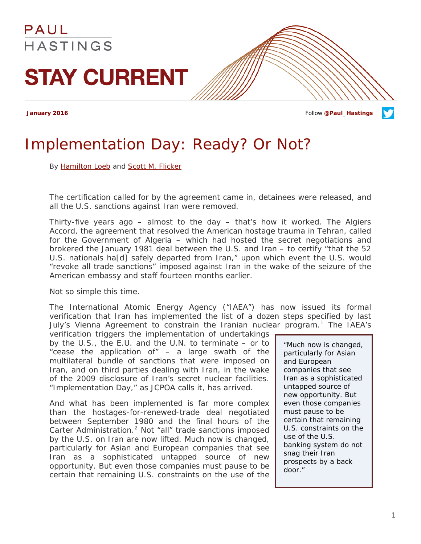

### *Implementation Day: Ready? Or Not?*

By [Hamilton Loeb](http://paulhastings.com/professionals/details/hamiltonloeb) and [Scott M. Flicker](http://paulhastings.com/professionals/details/scottflicker)

The certification called for by the agreement came in, detainees were released, and all the U.S. sanctions against Iran were removed.

Thirty-five years ago – almost to the day – that's how it worked. The Algiers Accord, the agreement that resolved the American hostage trauma in Tehran, called for the Government of Algeria – which had hosted the secret negotiations and brokered the January 1981 deal between the U.S. and Iran – to certify "that the 52 U.S. nationals ha[d] safely departed from Iran," upon which event the U.S. would "revoke all trade sanctions" imposed against Iran in the wake of the seizure of the American embassy and staff fourteen months earlier.

Not so simple this time.

The International Atomic Energy Agency ("IAEA") has now issued its formal verification that Iran has implemented the list of a dozen steps specified by last July's Vienna Agreement to constrain the Iranian nuclear program.<sup>[1](#page-8-0)</sup> The IAEA's

verification triggers the implementation of undertakings by the U.S., the E.U. and the U.N. to terminate – or to "cease the application of" – a large swath of the multilateral bundle of sanctions that were imposed on Iran, and on third parties dealing with Iran, in the wake of the 2009 disclosure of Iran's secret nuclear facilities. "Implementation Day," as JCPOA calls it, has arrived.

And what has been implemented is far more complex than the hostages-for-renewed-trade deal negotiated between September 1980 and the final hours of the Carter Administration. $<sup>2</sup>$  $<sup>2</sup>$  $<sup>2</sup>$  Not "all" trade sanctions imposed</sup> by the U.S. on Iran are now lifted. Much now *is* changed, particularly for Asian and European companies that see Iran as a sophisticated untapped source of new opportunity. But even those companies must pause to be certain that remaining U.S. constraints on the use of the

*"Much now is changed, particularly for Asian and European companies that see Iran as a sophisticated untapped source of new opportunity. But even those companies must pause to be certain that remaining U.S. constraints on the use of the U.S. banking system do not snag their Iran prospects by a back door."*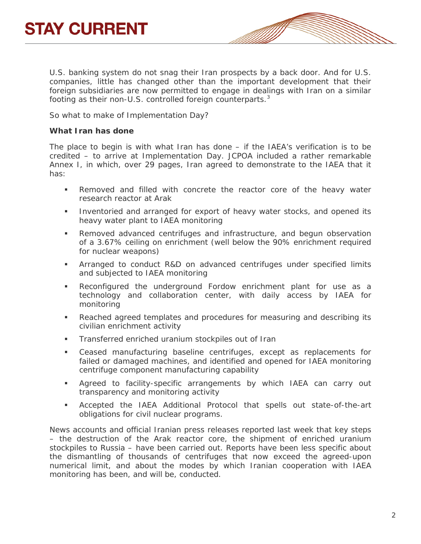U.S. banking system do not snag their Iran prospects by a back door. And for U.S. companies, little has changed other than the important development that their foreign subsidiaries are now permitted to engage in dealings with Iran on a similar footing as their non-U.S. controlled foreign counterparts.<sup>[3](#page-8-2)</sup>

So what to make of Implementation Day?

#### *What Iran has done*

The place to begin is with what Iran has done – if the IAEA's verification is to be credited – to arrive at Implementation Day. JCPOA included a rather remarkable Annex I, in which, over 29 pages, Iran agreed to demonstrate to the IAEA that it has:

- Removed and filled with concrete the reactor core of the heavy water research reactor at Arak
- **Inventoried and arranged for export of heavy water stocks, and opened its** heavy water plant to IAEA monitoring
- Removed advanced centrifuges and infrastructure, and begun observation of a 3.67% ceiling on enrichment (well below the 90% enrichment required for nuclear weapons)
- Arranged to conduct R&D on advanced centrifuges under specified limits and subjected to IAEA monitoring
- Reconfigured the underground Fordow enrichment plant for use as a technology and collaboration center, with daily access by IAEA for monitoring
- Reached agreed templates and procedures for measuring and describing its civilian enrichment activity
- Transferred enriched uranium stockpiles out of Iran
- Ceased manufacturing baseline centrifuges, except as replacements for failed or damaged machines, and identified and opened for IAEA monitoring centrifuge component manufacturing capability
- Agreed to facility-specific arrangements by which IAEA can carry out transparency and monitoring activity
- Accepted the IAEA Additional Protocol that spells out state-of-the-art obligations for civil nuclear programs.

News accounts and official Iranian press releases reported last week that key steps – the destruction of the Arak reactor core, the shipment of enriched uranium stockpiles to Russia – have been carried out. Reports have been less specific about the dismantling of thousands of centrifuges that now exceed the agreed-upon numerical limit, and about the modes by which Iranian cooperation with IAEA monitoring has been, and will be, conducted.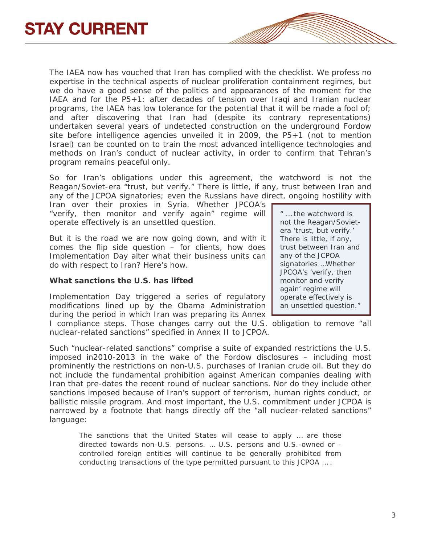The IAEA now has vouched that Iran has complied with the checklist. We profess no expertise in the technical aspects of nuclear proliferation containment regimes, but we do have a good sense of the politics and appearances of the moment for the IAEA and for the P5+1: after decades of tension over Iraqi and Iranian nuclear programs, the IAEA has low tolerance for the potential that it will be made a fool of; and after discovering that Iran had (despite its contrary representations) undertaken several years of undetected construction on the underground Fordow site before intelligence agencies unveiled it in 2009, the P5+1 (not to mention Israel) can be counted on to train the most advanced intelligence technologies and methods on Iran's conduct of nuclear activity, in order to confirm that Tehran's program remains peaceful only.

So for Iran's obligations under this agreement, the watchword is not the Reagan/Soviet-era "trust, but verify." There is little, if any, trust between Iran and any of the JCPOA signatories; even the Russians have direct, ongoing hostility with

Iran over their proxies in Syria. Whether JPCOA's "verify, then monitor and verify again" regime will operate effectively is an unsettled question.

But it is the road we are now going down, and with it comes the flip side question  $-$  for clients, how does Implementation Day alter what their business units can do with respect to Iran? Here's how.

#### *What sanctions the U.S. has lifted*

Implementation Day triggered a series of regulatory modifications lined up by the Obama Administration during the period in which Iran was preparing its Annex

*" … the watchword is not the Reagan/Sovietera 'trust, but verify.' There is little, if any, trust between Iran and any of the JCPOA signatories …Whether JPCOA's 'verify, then monitor and verify again' regime will operate effectively is an unsettled question."*

I compliance steps. Those changes carry out the U.S. obligation to remove "all *nuclear-related* sanctions" specified in Annex II to JCPOA.

Such "nuclear-related sanctions" comprise a suite of expanded restrictions the U.S. imposed in2010-2013 in the wake of the Fordow disclosures – including most prominently the restrictions on non-U.S. purchases of Iranian crude oil. But they do not include the fundamental prohibition against American companies dealing with Iran that pre-dates the recent round of nuclear sanctions. Nor do they include other sanctions imposed because of Iran's support of terrorism, human rights conduct, or ballistic missile program. And most important, the U.S. commitment under JCPOA is narrowed by a footnote that hangs directly off the "all nuclear-related sanctions" language:

The sanctions that the United States will cease to apply … are those directed towards non-U.S. persons. … U.S. persons and U.S.-owned or controlled foreign entities will continue to be generally prohibited from conducting transactions of the type permitted pursuant to this JCPOA … .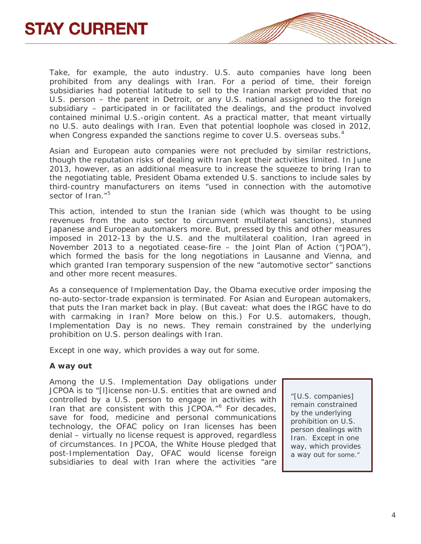

Take, for example, the auto industry. U.S. auto companies have long been prohibited from any dealings with Iran. For a period of time, their foreign subsidiaries had potential latitude to sell to the Iranian market provided that no U.S. person – the parent in Detroit, or any U.S. national assigned to the foreign subsidiary – participated in or facilitated the dealings, and the product involved contained minimal U.S.-origin content. As a practical matter, that meant virtually no U.S. auto dealings with Iran. Even that potential loophole was closed in 2012, when Congress expanded the sanctions regime to cover U.S. overseas subs.<sup>[4](#page-8-3)</sup>

Asian and European auto companies were not precluded by similar restrictions, though the reputation risks of dealing with Iran kept their activities limited. In June 2013, however, as an additional measure to increase the squeeze to bring Iran to the negotiating table, President Obama extended U.S. sanctions to include sales by third-country manufacturers on items "used in connection with the automotive sector of Iran."<sup>[5](#page-8-4)</sup>

This action, intended to stun the Iranian side (which was thought to be using revenues from the auto sector to circumvent multilateral sanctions), stunned Japanese and European automakers more. But, pressed by this and other measures imposed in 2012-13 by the U.S. and the multilateral coalition, Iran agreed in November 2013 to a negotiated cease-fire – the Joint Plan of Action ("JPOA"), which formed the basis for the long negotiations in Lausanne and Vienna, and which granted Iran temporary suspension of the new "automotive sector" sanctions and other more recent measures.

As a consequence of Implementation Day, the Obama executive order imposing the no-auto-sector-trade expansion is terminated. For Asian and European automakers, that puts the Iran market back in play. (But caveat: what does the IRGC have to do with carmaking in Iran? More below on this.) For U.S. automakers, though, Implementation Day is no news. They remain constrained by the underlying prohibition on U.S. person dealings with Iran.

Except in one way, which provides a way out for some.

#### *A way out*

Among the U.S. Implementation Day obligations under JCPOA is to "[l]icense non-U.S. entities that are owned and controlled by a U.S. person to engage in activities with Iran that are consistent with this JCPOA."<sup>[6](#page-8-5)</sup> For decades, save for food, medicine and personal communications technology, the OFAC policy on Iran licenses has been denial – virtually no license request is approved, regardless of circumstances. In JPCOA, the White House pledged that post-Implementation Day, OFAC would license foreign subsidiaries to deal with Iran where the activities "are

*"[U.S. companies] remain constrained by the underlying prohibition on U.S. person dealings with Iran. Except in one way, which provides a way out for some."*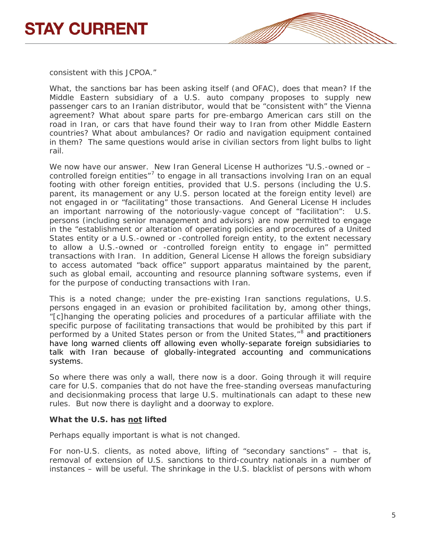

consistent with this JCPOA."

What, the sanctions bar has been asking itself (and OFAC), does that mean? If the Middle Eastern subsidiary of a U.S. auto company proposes to supply new passenger cars to an Iranian distributor, would that be "consistent with" the Vienna agreement? What about spare parts for pre-embargo American cars still on the road in Iran, or cars that have found their way to Iran from other Middle Eastern countries? What about ambulances? Or radio and navigation equipment contained in them? The same questions would arise in civilian sectors from light bulbs to light rail.

We now have our answer. New Iran General License H authorizes "U.S.-owned or controlled foreign entities" $7$  to engage in all transactions involving Iran on an equal footing with other foreign entities, provided that U.S. persons (including the U.S. parent, its management or any U.S. person located at the foreign entity level) are not engaged in or "facilitating" those transactions. And General License H includes an important narrowing of the notoriously-vague concept of "facilitation": U.S. persons (including senior management and advisors) are now permitted to engage in the "establishment or alteration of operating policies and procedures of a United States entity or a U.S.-owned or -controlled foreign entity, to the extent necessary to allow a U.S.-owned or -controlled foreign entity to engage in" permitted transactions with Iran. In addition, General License H allows the foreign subsidiary to access automated "back office" support apparatus maintained by the parent, such as global email, accounting and resource planning software systems, even if for the purpose of conducting transactions with Iran.

This is a noted change; under the pre-existing Iran sanctions regulations, U.S. persons engaged in an evasion or prohibited facilitation by, among other things, "[c]hanging the operating policies and procedures of a particular affiliate with the specific purpose of facilitating transactions that would be prohibited by this part if performed by a United States person or from the United States,"<sup>[8](#page-8-7)</sup> and practitioners have long warned clients off allowing even wholly-separate foreign subsidiaries to talk with Iran because of globally-integrated accounting and communications systems.

So where there was only a wall, there now is a door. Going through it will require care for U.S. companies that do not have the free-standing overseas manufacturing and decisionmaking process that large U.S. multinationals can adapt to these new rules. But now there is daylight and a doorway to explore.

#### *What the U.S. has not lifted*

Perhaps equally important is what is not changed.

For non-U.S. clients, as noted above, lifting of "secondary sanctions" – that is, removal of extension of U.S. sanctions to third-country nationals in a number of instances – will be useful. The shrinkage in the U.S. blacklist of persons with whom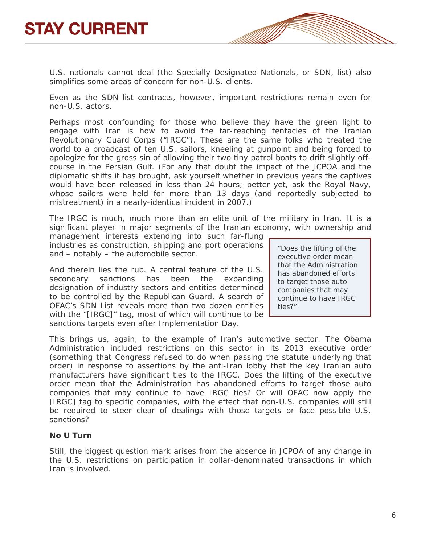U.S. nationals cannot deal (the Specially Designated Nationals, or SDN, list) also simplifies some areas of concern for non-U.S. clients.

Even as the SDN list contracts, however, important restrictions remain even for non-U.S. actors.

Perhaps most confounding for those who believe they have the green light to engage with Iran is how to avoid the far-reaching tentacles of the Iranian Revolutionary Guard Corps ("IRGC"). These are the same folks who treated the world to a broadcast of ten U.S. sailors, kneeling at gunpoint and being forced to apologize for the gross sin of allowing their two tiny patrol boats to drift slightly offcourse in the Persian Gulf. (For any that doubt the impact of the JCPOA and the diplomatic shifts it has brought, ask yourself whether in previous years the captives would have been released in less than 24 hours; better yet, ask the Royal Navy, whose sailors were held for more than 13 days (and reportedly subjected to mistreatment) in a nearly-identical incident in 2007.)

The IRGC is much, much more than an elite unit of the military in Iran. It is a significant player in major segments of the Iranian economy, with ownership and

management interests extending into such far-flung industries as construction, shipping and port operations and – notably – the automobile sector.

And therein lies the rub. A central feature of the U.S. secondary sanctions has been the expanding designation of industry sectors and entities determined to be controlled by the Republican Guard. A search of OFAC's SDN List reveals more than two dozen entities with the "[IRGC]" tag, most of which will continue to be sanctions targets even after Implementation Day.

*"Does the lifting of the executive order mean that the Administration has abandoned efforts to target those auto companies that may continue to have IRGC ties?"*

This brings us, again, to the example of Iran's automotive sector. The Obama Administration included restrictions on this sector in its 2013 executive order (something that Congress refused to do when passing the statute underlying that order) in response to assertions by the anti-Iran lobby that the key Iranian auto manufacturers have significant ties to the IRGC. Does the lifting of the executive order mean that the Administration has abandoned efforts to target those auto companies that may continue to have IRGC ties? Or will OFAC now apply the [IRGC] tag to specific companies, with the effect that non-U.S. companies will still be required to steer clear of dealings with those targets or face possible U.S. sanctions?

#### *No U Turn*

Still, the biggest question mark arises from the absence in JCPOA of any change in the U.S. restrictions on participation in dollar-denominated transactions in which Iran is involved.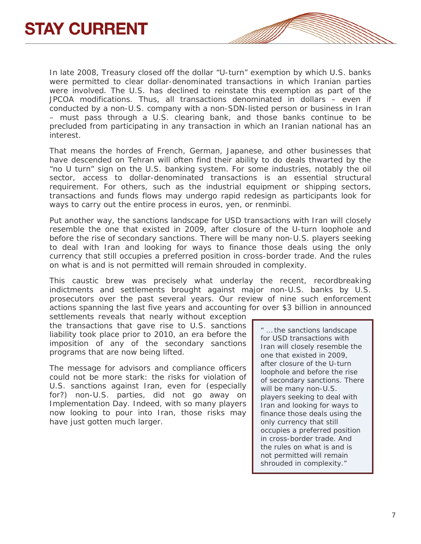In late 2008, Treasury closed off the dollar "U-turn" exemption by which U.S. banks were permitted to clear dollar-denominated transactions in which Iranian parties were involved. The U.S. has declined to reinstate this exemption as part of the JPCOA modifications. Thus, all transactions denominated in dollars – even if conducted by a non-U.S. company with a non-SDN-listed person or business in Iran – must pass through a U.S. clearing bank, and those banks continue to be precluded from participating in any transaction in which an Iranian national has an interest.

That means the hordes of French, German, Japanese, and other businesses that have descended on Tehran will often find their ability to do deals thwarted by the "no U turn" sign on the U.S. banking system. For some industries, notably the oil sector, access to dollar-denominated transactions is an essential structural requirement. For others, such as the industrial equipment or shipping sectors, transactions and funds flows may undergo rapid redesign as participants look for ways to carry out the entire process in euros, yen, or renminbi.

Put another way, the sanctions landscape for USD transactions with Iran will closely resemble the one that existed in 2009, after closure of the U-turn loophole and before the rise of secondary sanctions. There will be many non-U.S. players seeking to deal with Iran and looking for ways to finance those deals using the only currency that still occupies a preferred position in cross-border trade. And the rules on what is and is not permitted will remain shrouded in complexity.

This caustic brew was precisely what underlay the recent, recordbreaking indictments and settlements brought against major non-U.S. banks by U.S. prosecutors over the past several years. Our review of nine such enforcement actions spanning the last five years and accounting for over *\$3 billion* in announced

settlements reveals that nearly without exception the transactions that gave rise to U.S. sanctions liability took place *prior* to 2010, an era before the imposition of any of the secondary sanctions programs that are now being lifted.

The message for advisors and compliance officers could not be more stark: the risks for violation of U.S. sanctions against Iran, even for (especially for?) non-U.S. parties, did not go away on Implementation Day. Indeed, with so many players now looking to pour into Iran, those risks may have just gotten much larger.

*" … the sanctions landscape for USD transactions with Iran will closely resemble the one that existed in 2009, after closure of the U-turn loophole and before the rise of secondary sanctions. There will be many non-U.S. players seeking to deal with Iran and looking for ways to finance those deals using the only currency that still occupies a preferred position in cross-border trade. And the rules on what is and is not permitted will remain shrouded in complexity."*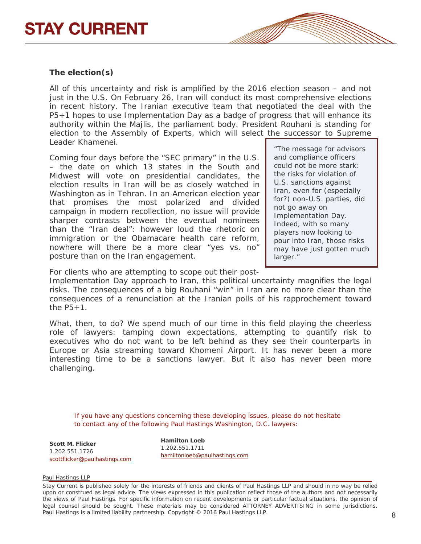## **STAY CURRENT**

#### *The election(s)*

All of this uncertainty and risk is amplified by the 2016 election season – and not just in the U.S. On February 26, Iran will conduct its most comprehensive elections in recent history. The Iranian executive team that negotiated the deal with the P5+1 hopes to use Implementation Day as a badge of progress that will enhance its authority within the Majlis, the parliament body. President Rouhani is standing for election to the Assembly of Experts, which will select the successor to Supreme Leader Khamenei.

Coming four days before the "SEC primary" in the U.S. – the date on which 13 states in the South and Midwest will vote on presidential candidates, the election results in Iran will be as closely watched in Washington as in Tehran. In an American election year that promises the most polarized and divided campaign in modern recollection, no issue will provide sharper contrasts between the eventual nominees than the "Iran deal": however loud the rhetoric on immigration or the Obamacare health care reform, nowhere will there be a more clear "yes vs. no" posture than on the Iran engagement.

*"The message for advisors and compliance officers could not be more stark: the risks for violation of U.S. sanctions against Iran, even for (especially for?) non-U.S. parties, did not go away on Implementation Day. Indeed, with so many players now looking to pour into Iran, those risks may have just gotten much larger."*

For clients who are attempting to scope out their post-

Implementation Day approach to Iran, this political uncertainty magnifies the legal risks. The consequences of a big Rouhani "win" in Iran are no more clear than the consequences of a renunciation at the Iranian polls of his rapprochement toward the  $P5+1$ .

What, then, to do? We spend much of our time in this field playing the cheerless role of lawyers: tamping down expectations, attempting to quantify risk to executives who do not want to be left behind as they see their counterparts in Europe or Asia streaming toward Khomeni Airport. It has never been a more interesting time to be a sanctions lawyer. But it also has never been more challenging.

*If you have any questions concerning these developing issues, please do not hesitate to contact any of the following Paul Hastings Washington, D.C. lawyers:*

**Scott M. Flicker** 1.202.551.1726 [scottflicker@paulhastings.com](mailto:scottflicker@paulhastings.com) **Hamilton Loeb** 1.202.551.1711 [hamiltonloeb@paulhastings.com](mailto:hamiltonloeb@paulhastings.com)

Paul Hastings LLP

Stay Current is published solely for the interests of friends and clients of Paul Hastings LLP and should in no way be relied upon or construed as legal advice. The views expressed in this publication reflect those of the authors and not necessarily the views of Paul Hastings. For specific information on recent developments or particular factual situations, the opinion of legal counsel should be sought. These materials may be considered ATTORNEY ADVERTISING in some jurisdictions. Paul Hastings is a limited liability partnership. Copyright © 2016 Paul Hastings LLP.